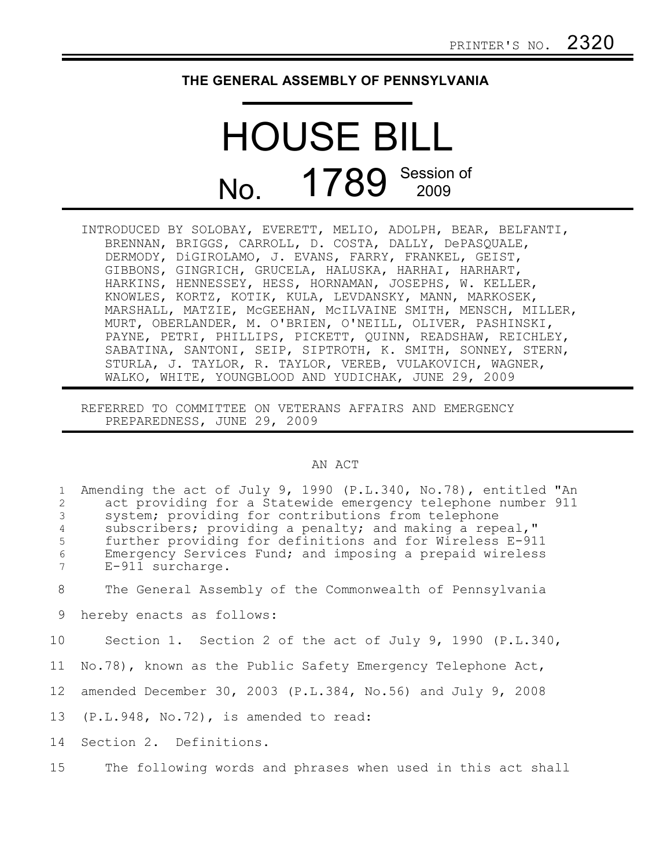## **THE GENERAL ASSEMBLY OF PENNSYLVANIA**

## HOUSE BILL No. 1789 Session of

INTRODUCED BY SOLOBAY, EVERETT, MELIO, ADOLPH, BEAR, BELFANTI, BRENNAN, BRIGGS, CARROLL, D. COSTA, DALLY, DePASQUALE, DERMODY, DiGIROLAMO, J. EVANS, FARRY, FRANKEL, GEIST, GIBBONS, GINGRICH, GRUCELA, HALUSKA, HARHAI, HARHART, HARKINS, HENNESSEY, HESS, HORNAMAN, JOSEPHS, W. KELLER, KNOWLES, KORTZ, KOTIK, KULA, LEVDANSKY, MANN, MARKOSEK, MARSHALL, MATZIE, McGEEHAN, McILVAINE SMITH, MENSCH, MILLER, MURT, OBERLANDER, M. O'BRIEN, O'NEILL, OLIVER, PASHINSKI, PAYNE, PETRI, PHILLIPS, PICKETT, QUINN, READSHAW, REICHLEY, SABATINA, SANTONI, SEIP, SIPTROTH, K. SMITH, SONNEY, STERN, STURLA, J. TAYLOR, R. TAYLOR, VEREB, VULAKOVICH, WAGNER, WALKO, WHITE, YOUNGBLOOD AND YUDICHAK, JUNE 29, 2009

REFERRED TO COMMITTEE ON VETERANS AFFAIRS AND EMERGENCY PREPAREDNESS, JUNE 29, 2009

## AN ACT

| $\mathbf{1}$<br>2<br>$\mathcal{S}$<br>$\overline{4}$<br>5<br>6<br>7 | Amending the act of July 9, 1990 (P.L.340, No.78), entitled "An<br>act providing for a Statewide emergency telephone number 911<br>system; providing for contributions from telephone<br>subscribers; providing a penalty; and making a repeal,"<br>further providing for definitions and for Wireless E-911<br>Emergency Services Fund; and imposing a prepaid wireless<br>E-911 surcharge. |
|---------------------------------------------------------------------|----------------------------------------------------------------------------------------------------------------------------------------------------------------------------------------------------------------------------------------------------------------------------------------------------------------------------------------------------------------------------------------------|
| 8                                                                   | The General Assembly of the Commonwealth of Pennsylvania                                                                                                                                                                                                                                                                                                                                     |
| 9                                                                   | hereby enacts as follows:                                                                                                                                                                                                                                                                                                                                                                    |
| 10                                                                  | Section 1. Section 2 of the act of July 9, 1990 (P.L.340,                                                                                                                                                                                                                                                                                                                                    |
| 11                                                                  | No.78), known as the Public Safety Emergency Telephone Act,                                                                                                                                                                                                                                                                                                                                  |
| 12                                                                  | amended December 30, 2003 (P.L.384, No.56) and July 9, 2008                                                                                                                                                                                                                                                                                                                                  |
|                                                                     | 13 (P.L.948, No.72), is amended to read:                                                                                                                                                                                                                                                                                                                                                     |
| 14                                                                  | Section 2. Definitions.                                                                                                                                                                                                                                                                                                                                                                      |
| 15                                                                  | The following words and phrases when used in this act shall                                                                                                                                                                                                                                                                                                                                  |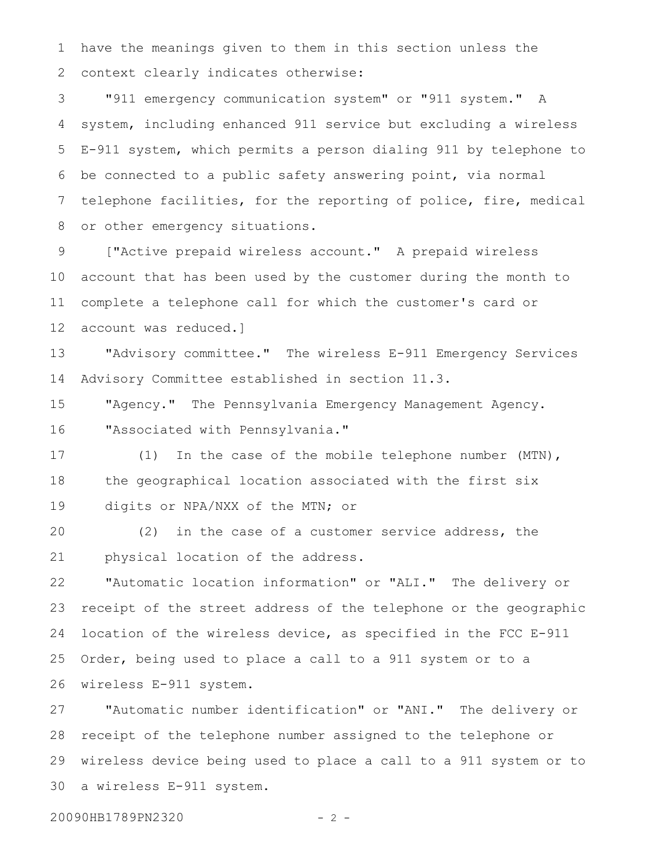have the meanings given to them in this section unless the context clearly indicates otherwise: 1 2

"911 emergency communication system" or "911 system." A system, including enhanced 911 service but excluding a wireless E-911 system, which permits a person dialing 911 by telephone to be connected to a public safety answering point, via normal telephone facilities, for the reporting of police, fire, medical or other emergency situations. 3 4 5 6 7 8

["Active prepaid wireless account." A prepaid wireless account that has been used by the customer during the month to complete a telephone call for which the customer's card or account was reduced.] 9 10 11 12

"Advisory committee." The wireless E-911 Emergency Services Advisory Committee established in section 11.3. 13 14

"Agency." The Pennsylvania Emergency Management Agency. "Associated with Pennsylvania." 15 16

(1) In the case of the mobile telephone number (MTN), the geographical location associated with the first six digits or NPA/NXX of the MTN; or 17 18 19

(2) in the case of a customer service address, the physical location of the address. 20 21

"Automatic location information" or "ALI." The delivery or receipt of the street address of the telephone or the geographic location of the wireless device, as specified in the FCC E-911 Order, being used to place a call to a 911 system or to a wireless E-911 system. 22 23 24 25 26

"Automatic number identification" or "ANI." The delivery or receipt of the telephone number assigned to the telephone or wireless device being used to place a call to a 911 system or to a wireless E-911 system. 27 28 29 30

20090HB1789PN2320 - 2 -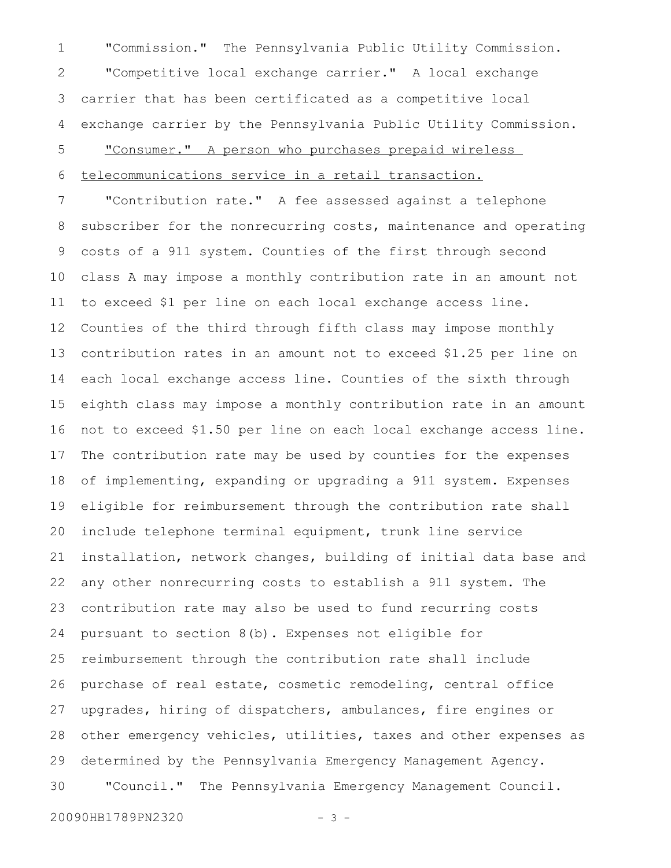"Commission." The Pennsylvania Public Utility Commission. "Competitive local exchange carrier." A local exchange carrier that has been certificated as a competitive local exchange carrier by the Pennsylvania Public Utility Commission. 2 3 4

"Consumer." A person who purchases prepaid wireless 5

telecommunications service in a retail transaction. 6

"Contribution rate." A fee assessed against a telephone subscriber for the nonrecurring costs, maintenance and operating costs of a 911 system. Counties of the first through second class A may impose a monthly contribution rate in an amount not to exceed \$1 per line on each local exchange access line. Counties of the third through fifth class may impose monthly contribution rates in an amount not to exceed \$1.25 per line on each local exchange access line. Counties of the sixth through eighth class may impose a monthly contribution rate in an amount not to exceed \$1.50 per line on each local exchange access line. The contribution rate may be used by counties for the expenses of implementing, expanding or upgrading a 911 system. Expenses eligible for reimbursement through the contribution rate shall include telephone terminal equipment, trunk line service installation, network changes, building of initial data base and any other nonrecurring costs to establish a 911 system. The contribution rate may also be used to fund recurring costs pursuant to section 8(b). Expenses not eligible for reimbursement through the contribution rate shall include purchase of real estate, cosmetic remodeling, central office upgrades, hiring of dispatchers, ambulances, fire engines or other emergency vehicles, utilities, taxes and other expenses as determined by the Pennsylvania Emergency Management Agency. "Council." The Pennsylvania Emergency Management Council. 7 8 9 10 11 12 13 14 15 16 17 18 19 20 21 22 23 24 25 26 27 28 29 30

20090HB1789PN2320 - 3 -

1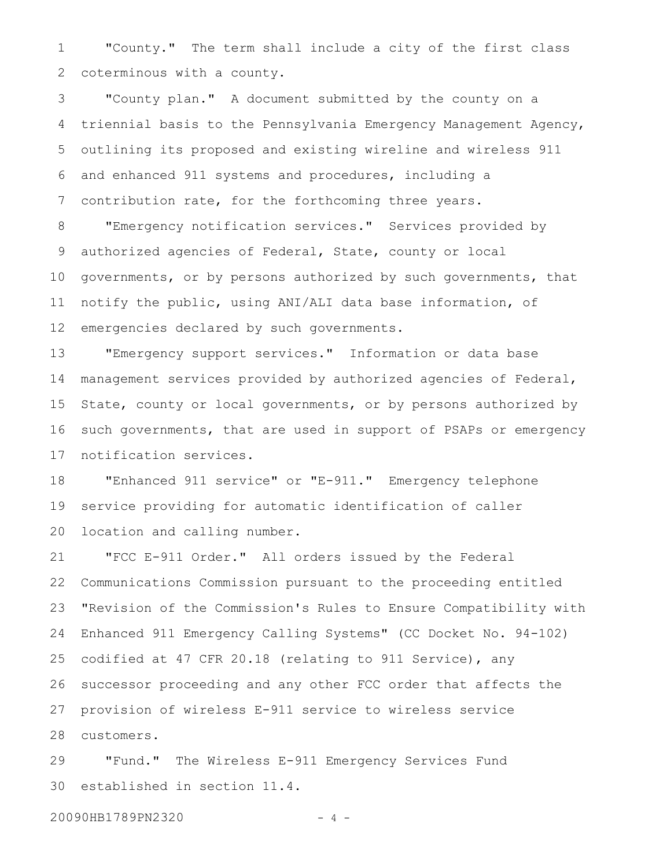"County." The term shall include a city of the first class coterminous with a county. 1 2

"County plan." A document submitted by the county on a triennial basis to the Pennsylvania Emergency Management Agency, outlining its proposed and existing wireline and wireless 911 and enhanced 911 systems and procedures, including a contribution rate, for the forthcoming three years. 3 4 5 6 7

"Emergency notification services." Services provided by authorized agencies of Federal, State, county or local governments, or by persons authorized by such governments, that notify the public, using ANI/ALI data base information, of emergencies declared by such governments. 8 9 10 11 12

"Emergency support services." Information or data base management services provided by authorized agencies of Federal, State, county or local governments, or by persons authorized by such governments, that are used in support of PSAPs or emergency notification services. 13 14 15 16 17

"Enhanced 911 service" or "E-911." Emergency telephone service providing for automatic identification of caller location and calling number. 18 19 20

"FCC E-911 Order." All orders issued by the Federal Communications Commission pursuant to the proceeding entitled "Revision of the Commission's Rules to Ensure Compatibility with Enhanced 911 Emergency Calling Systems" (CC Docket No. 94-102) codified at 47 CFR 20.18 (relating to 911 Service), any successor proceeding and any other FCC order that affects the provision of wireless E-911 service to wireless service customers. 21 22 23 24 25 26 27 28

"Fund." The Wireless E-911 Emergency Services Fund established in section 11.4. 29 30

20090HB1789PN2320 - 4 -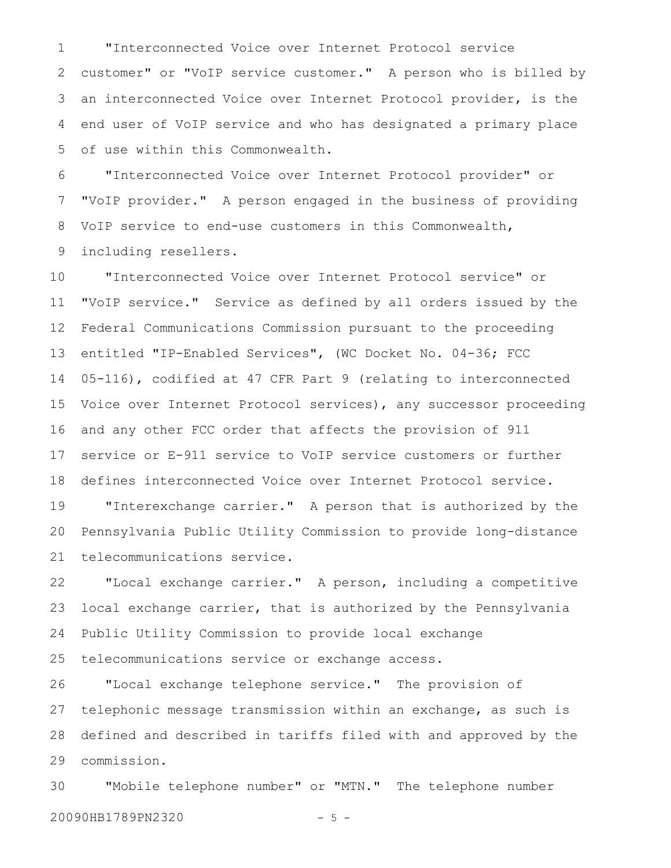"Interconnected Voice over Internet Protocol service customer" or "VoIP service customer." A person who is billed by an interconnected Voice over Internet Protocol provider, is the end user of VoIP service and who has designated a primary place of use within this Commonwealth. 1 2 3 4 5

"Interconnected Voice over Internet Protocol provider" or "VoIP provider." A person engaged in the business of providing VoIP service to end-use customers in this Commonwealth, including resellers. 6 7 8 9

"Interconnected Voice over Internet Protocol service" or "VoIP service." Service as defined by all orders issued by the Federal Communications Commission pursuant to the proceeding entitled "IP-Enabled Services", (WC Docket No. 04-36; FCC 05-116), codified at 47 CFR Part 9 (relating to interconnected Voice over Internet Protocol services), any successor proceeding and any other FCC order that affects the provision of 911 service or E-911 service to VoIP service customers or further defines interconnected Voice over Internet Protocol service. 10 11 12 13 14 15 16 17 18

"Interexchange carrier." A person that is authorized by the Pennsylvania Public Utility Commission to provide long-distance telecommunications service. 19 20 21

"Local exchange carrier." A person, including a competitive local exchange carrier, that is authorized by the Pennsylvania Public Utility Commission to provide local exchange telecommunications service or exchange access. 22 23 24 25

"Local exchange telephone service." The provision of telephonic message transmission within an exchange, as such is defined and described in tariffs filed with and approved by the commission. 26 27 28 29

"Mobile telephone number" or "MTN." The telephone number 20090HB1789PN2320 - 5 - 30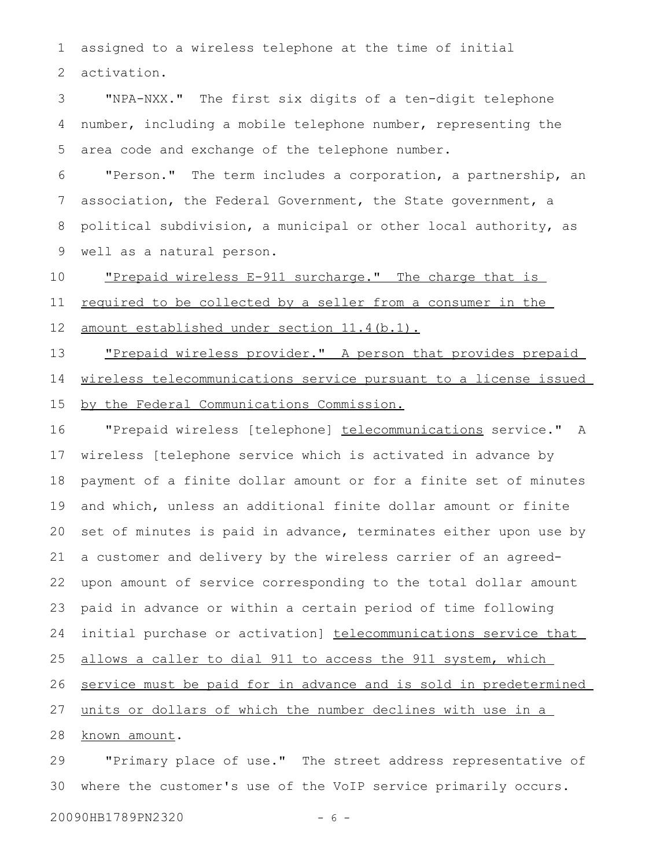assigned to a wireless telephone at the time of initial activation. 1 2

"NPA-NXX." The first six digits of a ten-digit telephone number, including a mobile telephone number, representing the area code and exchange of the telephone number. 3 4 5

"Person." The term includes a corporation, a partnership, an association, the Federal Government, the State government, a political subdivision, a municipal or other local authority, as well as a natural person. 6 7 8 9

"Prepaid wireless E-911 surcharge." The charge that is required to be collected by a seller from a consumer in the amount established under section 11.4(b.1). 10 11

"Prepaid wireless provider." A person that provides prepaid wireless telecommunications service pursuant to a license issued 13 14

by the Federal Communications Commission. 15

"Prepaid wireless [telephone] telecommunications service." A wireless [telephone service which is activated in advance by payment of a finite dollar amount or for a finite set of minutes and which, unless an additional finite dollar amount or finite set of minutes is paid in advance, terminates either upon use by a customer and delivery by the wireless carrier of an agreedupon amount of service corresponding to the total dollar amount paid in advance or within a certain period of time following initial purchase or activation] telecommunications service that allows a caller to dial 911 to access the 911 system, which service must be paid for in advance and is sold in predetermined units or dollars of which the number declines with use in a known amount. 16 17 18 19 20 21 22 23 24 25 26 27 28

"Primary place of use." The street address representative of where the customer's use of the VoIP service primarily occurs. 29 30

20090HB1789PN2320 - 6 -

12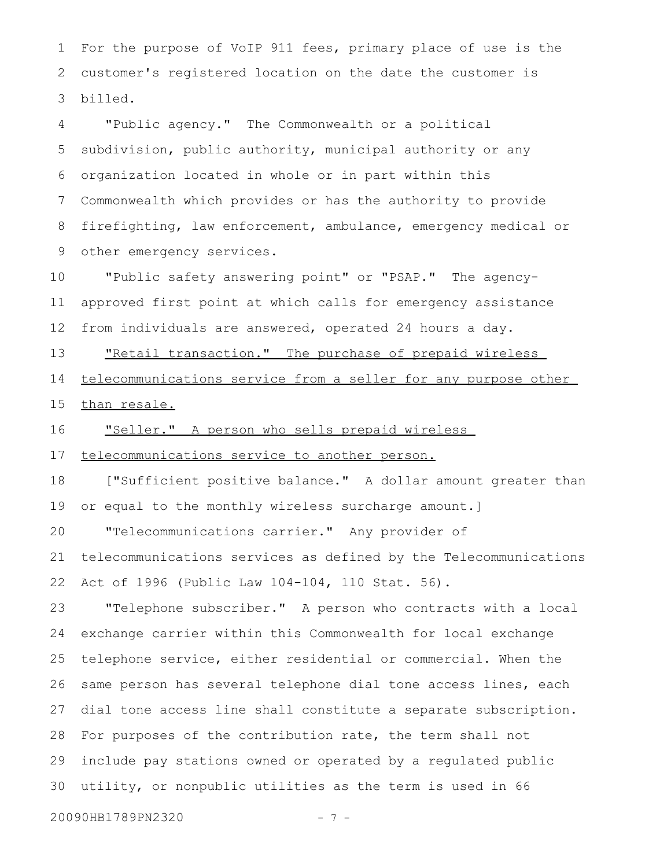For the purpose of VoIP 911 fees, primary place of use is the customer's registered location on the date the customer is billed. 1 2 3

"Public agency." The Commonwealth or a political subdivision, public authority, municipal authority or any organization located in whole or in part within this Commonwealth which provides or has the authority to provide firefighting, law enforcement, ambulance, emergency medical or other emergency services. 4 5 6 7 8 9

"Public safety answering point" or "PSAP." The agencyapproved first point at which calls for emergency assistance from individuals are answered, operated 24 hours a day. 10 11 12

"Retail transaction." The purchase of prepaid wireless telecommunications service from a seller for any purpose other than resale. 13 14 15

"Seller." A person who sells prepaid wireless 16

telecommunications service to another person. 17

["Sufficient positive balance." A dollar amount greater than or equal to the monthly wireless surcharge amount.] "Telecommunications carrier." Any provider of telecommunications services as defined by the Telecommunications 18 19 20 21

Act of 1996 (Public Law 104-104, 110 Stat. 56). 22

"Telephone subscriber." A person who contracts with a local exchange carrier within this Commonwealth for local exchange telephone service, either residential or commercial. When the same person has several telephone dial tone access lines, each dial tone access line shall constitute a separate subscription. For purposes of the contribution rate, the term shall not include pay stations owned or operated by a regulated public utility, or nonpublic utilities as the term is used in 66 23 24 25 26 27 28 29 30

20090HB1789PN2320 - 7 -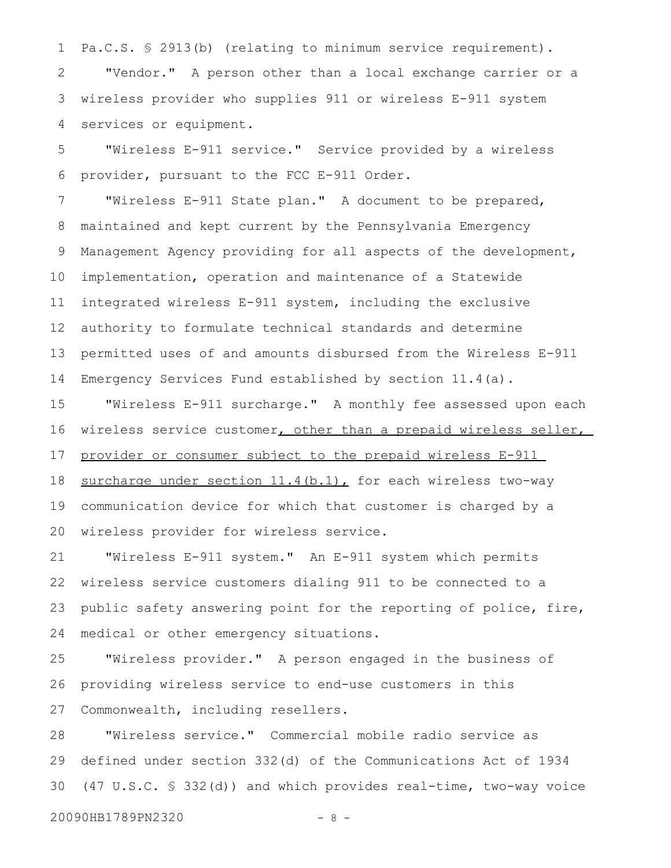Pa.C.S. § 2913(b) (relating to minimum service requirement). 1

"Vendor." A person other than a local exchange carrier or a wireless provider who supplies 911 or wireless E-911 system services or equipment. 2 3 4

"Wireless E-911 service." Service provided by a wireless provider, pursuant to the FCC E-911 Order. 5 6

"Wireless E-911 State plan." A document to be prepared, maintained and kept current by the Pennsylvania Emergency Management Agency providing for all aspects of the development, implementation, operation and maintenance of a Statewide integrated wireless E-911 system, including the exclusive authority to formulate technical standards and determine permitted uses of and amounts disbursed from the Wireless E-911 Emergency Services Fund established by section 11.4(a). 7 8 9 10 11 12 13 14

"Wireless E-911 surcharge." A monthly fee assessed upon each wireless service customer, other than a prepaid wireless seller, provider or consumer subject to the prepaid wireless E-911 surcharge under section  $11.4(b.1)$ , for each wireless two-way communication device for which that customer is charged by a wireless provider for wireless service. 15 16 17 18 19 20

"Wireless E-911 system." An E-911 system which permits wireless service customers dialing 911 to be connected to a public safety answering point for the reporting of police, fire, medical or other emergency situations. 21 22 23 24

"Wireless provider." A person engaged in the business of providing wireless service to end-use customers in this Commonwealth, including resellers. 25 26 27

"Wireless service." Commercial mobile radio service as defined under section 332(d) of the Communications Act of 1934 (47 U.S.C. § 332(d)) and which provides real-time, two-way voice 28 29 30

20090HB1789PN2320 - 8 -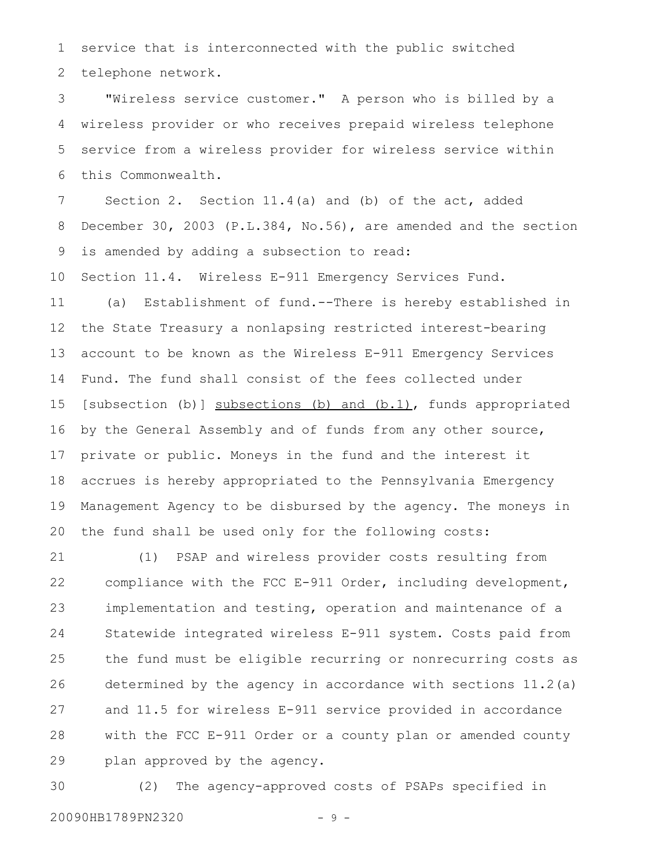service that is interconnected with the public switched telephone network. 1 2

"Wireless service customer." A person who is billed by a wireless provider or who receives prepaid wireless telephone service from a wireless provider for wireless service within this Commonwealth. 3 4 5 6

Section 2. Section 11.4(a) and (b) of the act, added December 30, 2003 (P.L.384, No.56), are amended and the section is amended by adding a subsection to read: 7 8 9

Section 11.4. Wireless E-911 Emergency Services Fund. (a) Establishment of fund.--There is hereby established in the State Treasury a nonlapsing restricted interest-bearing account to be known as the Wireless E-911 Emergency Services Fund. The fund shall consist of the fees collected under [subsection (b)] subsections (b) and (b.1), funds appropriated by the General Assembly and of funds from any other source, private or public. Moneys in the fund and the interest it accrues is hereby appropriated to the Pennsylvania Emergency Management Agency to be disbursed by the agency. The moneys in the fund shall be used only for the following costs: 10 11 12 13 14 15 16 17 18 19 20

(1) PSAP and wireless provider costs resulting from compliance with the FCC E-911 Order, including development, implementation and testing, operation and maintenance of a Statewide integrated wireless E-911 system. Costs paid from the fund must be eligible recurring or nonrecurring costs as determined by the agency in accordance with sections 11.2(a) and 11.5 for wireless E-911 service provided in accordance with the FCC E-911 Order or a county plan or amended county plan approved by the agency. 21 22 23 24 25 26 27 28 29

(2) The agency-approved costs of PSAPs specified in 20090HB1789PN2320 - 9 -30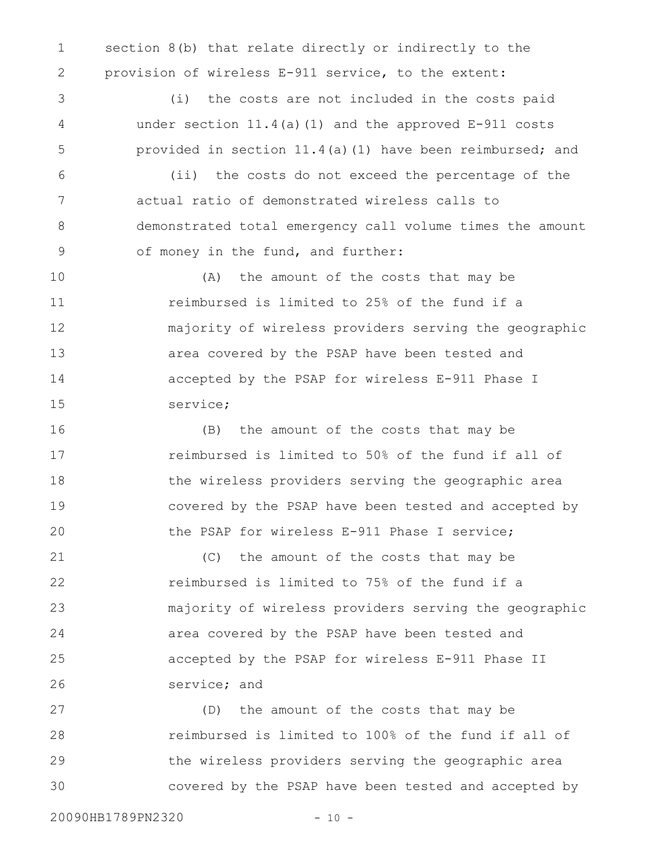section 8(b) that relate directly or indirectly to the provision of wireless E-911 service, to the extent: 1 2

(i) the costs are not included in the costs paid under section  $11.4$  (a) (1) and the approved  $E-911$  costs provided in section 11.4(a)(1) have been reimbursed; and

(ii) the costs do not exceed the percentage of the actual ratio of demonstrated wireless calls to demonstrated total emergency call volume times the amount of money in the fund, and further: 6 7 8 9

(A) the amount of the costs that may be reimbursed is limited to 25% of the fund if a majority of wireless providers serving the geographic area covered by the PSAP have been tested and accepted by the PSAP for wireless E-911 Phase I service; 10 11 12 13 14 15

(B) the amount of the costs that may be reimbursed is limited to 50% of the fund if all of the wireless providers serving the geographic area covered by the PSAP have been tested and accepted by the PSAP for wireless E-911 Phase I service; 16 17 18 19 20

(C) the amount of the costs that may be reimbursed is limited to 75% of the fund if a majority of wireless providers serving the geographic area covered by the PSAP have been tested and accepted by the PSAP for wireless E-911 Phase II service; and 21 22 23 24 25 26

(D) the amount of the costs that may be reimbursed is limited to 100% of the fund if all of the wireless providers serving the geographic area covered by the PSAP have been tested and accepted by 27 28 29 30

20090HB1789PN2320 - 10 -

3

4

5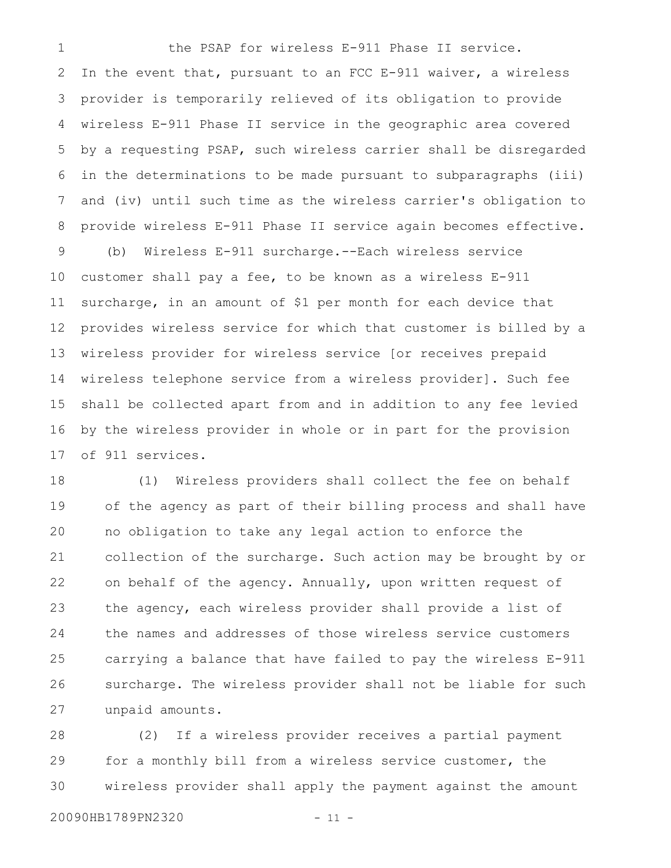the PSAP for wireless E-911 Phase II service. In the event that, pursuant to an FCC E-911 waiver, a wireless provider is temporarily relieved of its obligation to provide wireless E-911 Phase II service in the geographic area covered by a requesting PSAP, such wireless carrier shall be disregarded in the determinations to be made pursuant to subparagraphs (iii) and (iv) until such time as the wireless carrier's obligation to provide wireless E-911 Phase II service again becomes effective. (b) Wireless E-911 surcharge.--Each wireless service customer shall pay a fee, to be known as a wireless E-911 surcharge, in an amount of \$1 per month for each device that provides wireless service for which that customer is billed by a wireless provider for wireless service [or receives prepaid wireless telephone service from a wireless provider]. Such fee shall be collected apart from and in addition to any fee levied by the wireless provider in whole or in part for the provision of 911 services. 1 2 3 4 5 6 7 8 9 10 11 12 13 14 15 16 17

(1) Wireless providers shall collect the fee on behalf of the agency as part of their billing process and shall have no obligation to take any legal action to enforce the collection of the surcharge. Such action may be brought by or on behalf of the agency. Annually, upon written request of the agency, each wireless provider shall provide a list of the names and addresses of those wireless service customers carrying a balance that have failed to pay the wireless E-911 surcharge. The wireless provider shall not be liable for such unpaid amounts. 18 19 20 21 22 23 24 25 26 27

(2) If a wireless provider receives a partial payment for a monthly bill from a wireless service customer, the wireless provider shall apply the payment against the amount 28 29 30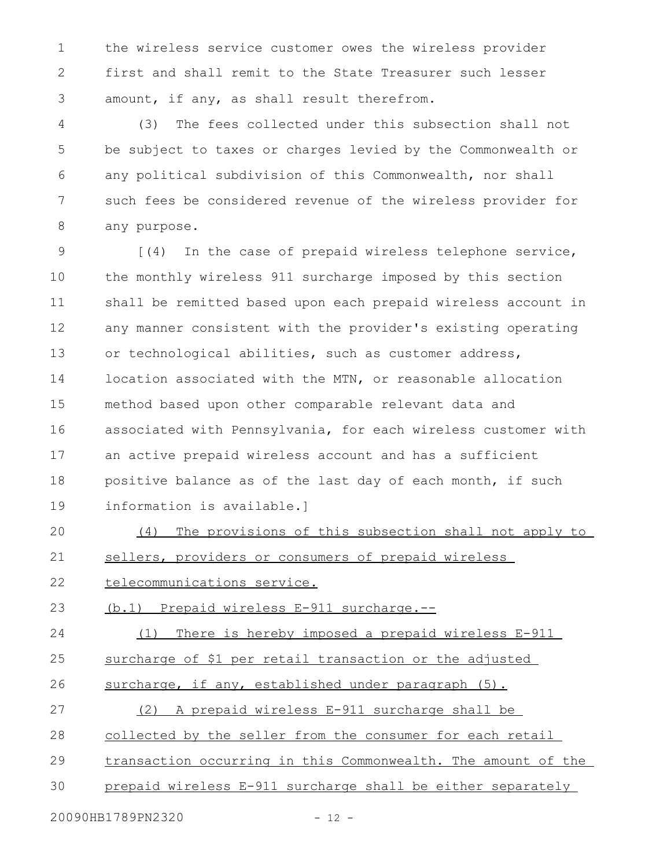the wireless service customer owes the wireless provider first and shall remit to the State Treasurer such lesser amount, if any, as shall result therefrom. 1 2 3

(3) The fees collected under this subsection shall not be subject to taxes or charges levied by the Commonwealth or any political subdivision of this Commonwealth, nor shall such fees be considered revenue of the wireless provider for any purpose. 4 5 6 7 8

[(4) In the case of prepaid wireless telephone service, the monthly wireless 911 surcharge imposed by this section shall be remitted based upon each prepaid wireless account in any manner consistent with the provider's existing operating or technological abilities, such as customer address, location associated with the MTN, or reasonable allocation method based upon other comparable relevant data and associated with Pennsylvania, for each wireless customer with an active prepaid wireless account and has a sufficient positive balance as of the last day of each month, if such information is available.] 9 10 11 12 13 14 15 16 17 18 19

(4) The provisions of this subsection shall not apply to sellers, providers or consumers of prepaid wireless 20 21

telecommunications service. 22

(b.1) Prepaid wireless E-911 surcharge.-- 23

(1) There is hereby imposed a prepaid wireless E-911 24

surcharge of \$1 per retail transaction or the adjusted 25

surcharge, if any, established under paragraph (5). 26

(2) A prepaid wireless E-911 surcharge shall be 27

collected by the seller from the consumer for each retail 28

transaction occurring in this Commonwealth. The amount of the 29

prepaid wireless E-911 surcharge shall be either separately 30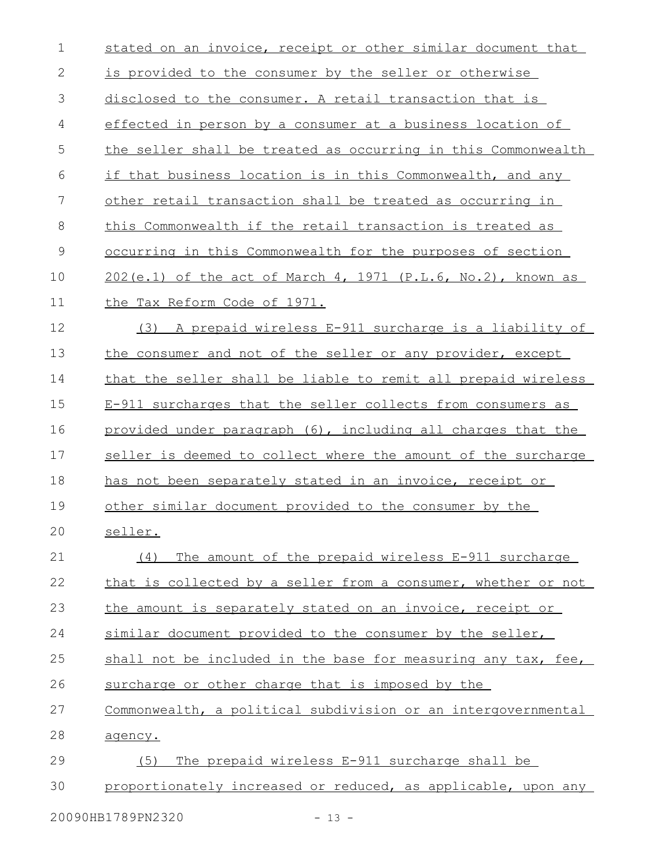| $\mathbf 1$   | stated on an invoice, receipt or other similar document that   |
|---------------|----------------------------------------------------------------|
| $\sqrt{2}$    | <u>is provided to the consumer by the seller or otherwise</u>  |
| 3             | disclosed to the consumer. A retail transaction that is        |
| 4             | effected in person by a consumer at a business location of     |
| 5             | the seller shall be treated as occurring in this Commonwealth  |
| 6             | if that business location is in this Commonwealth, and any     |
| 7             | other retail transaction shall be treated as occurring in      |
| $8\,$         | this Commonwealth if the retail transaction is treated as      |
| $\mathcal{G}$ | occurring in this Commonwealth for the purposes of section     |
| 10            | $202(e.1)$ of the act of March 4, 1971 (P.L.6, No.2), known as |
| 11            | the Tax Reform Code of 1971.                                   |
| 12            | (3) A prepaid wireless E-911 surcharge is a liability of       |
| 13            | the consumer and not of the seller or any provider, except     |
| 14            | that the seller shall be liable to remit all prepaid wireless  |
| 15            | E-911 surcharges that the seller collects from consumers as    |
| 16            | provided under paragraph (6), including all charges that the   |
| 17            | seller is deemed to collect where the amount of the surcharge  |
| 18            | has not been separately stated in an invoice, receipt or       |
| 19            | other similar document provided to the consumer by the         |
| 20            | seller.                                                        |
| 21            | The amount of the prepaid wireless E-911 surcharge<br>(4)      |
| 22            | that is collected by a seller from a consumer, whether or not  |
| 23            | the amount is separately stated on an invoice, receipt or      |
| 24            | similar document provided to the consumer by the seller,       |
| 25            | shall not be included in the base for measuring any tax, fee,  |
| 26            | surcharge or other charge that is imposed by the               |
| 27            | Commonwealth, a political subdivision or an intergovernmental  |
| 28            | agency.                                                        |
| 29            | The prepaid wireless E-911 surcharge shall be<br>(5)           |
| 30            | proportionately increased or reduced, as applicable, upon any  |
|               |                                                                |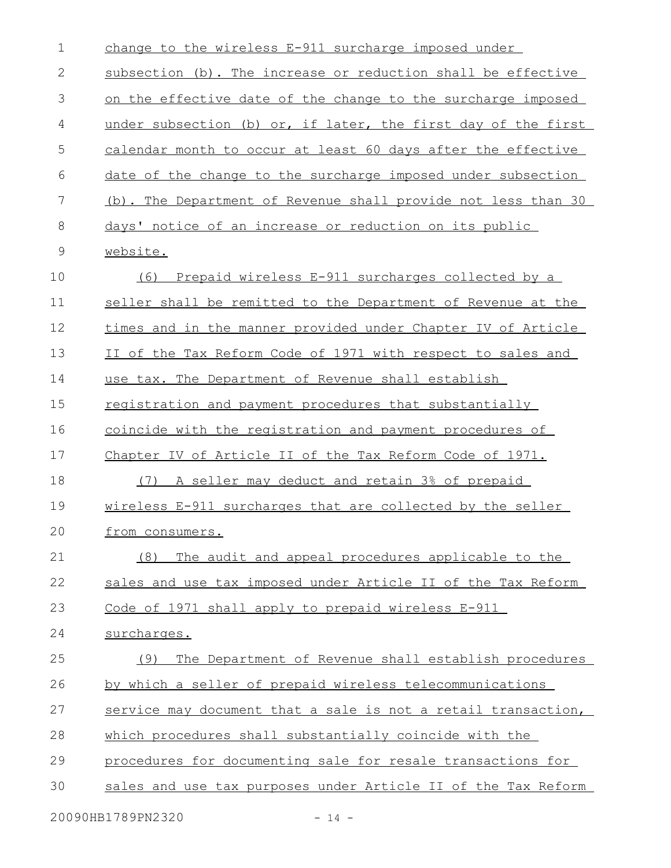| $\mathbf 1$   | change to the wireless E-911 surcharge imposed under          |
|---------------|---------------------------------------------------------------|
| $\mathbf 2$   | subsection (b). The increase or reduction shall be effective  |
| 3             | on the effective date of the change to the surcharge imposed  |
| 4             | under subsection (b) or, if later, the first day of the first |
| 5             | calendar month to occur at least 60 days after the effective  |
| 6             | date of the change to the surcharge imposed under subsection  |
| 7             | (b). The Department of Revenue shall provide not less than 30 |
| 8             | days' notice of an increase or reduction on its public        |
| $\mathcal{G}$ | website.                                                      |
| 10            | Prepaid wireless E-911 surcharges collected by a<br>(6)       |
| 11            | seller shall be remitted to the Department of Revenue at the  |
| 12            | times and in the manner provided under Chapter IV of Article  |
| 13            | II of the Tax Reform Code of 1971 with respect to sales and   |
| 14            | use tax. The Department of Revenue shall establish            |
| 15            | registration and payment procedures that substantially        |
| 16            | coincide with the registration and payment procedures of      |
| 17            | Chapter IV of Article II of the Tax Reform Code of 1971.      |
| 18            | A seller may deduct and retain 3% of prepaid<br>(7)           |
| 19            | wireless E-911 surcharges that are collected by the seller    |
| 20            | from consumers.                                               |
| 21            | The audit and appeal procedures applicable to the<br>(8)      |
| 22            | sales and use tax imposed under Article II of the Tax Reform  |
| 23            | Code of 1971 shall apply to prepaid wireless E-911            |
| 24            | surcharges.                                                   |
| 25            | The Department of Revenue shall establish procedures<br>(9)   |
| 26            | by which a seller of prepaid wireless telecommunications      |
| 27            | service may document that a sale is not a retail transaction, |
| 28            | which procedures shall substantially coincide with the        |
| 29            | procedures for documenting sale for resale transactions for   |
| 30            | sales and use tax purposes under Article II of the Tax Reform |
|               |                                                               |